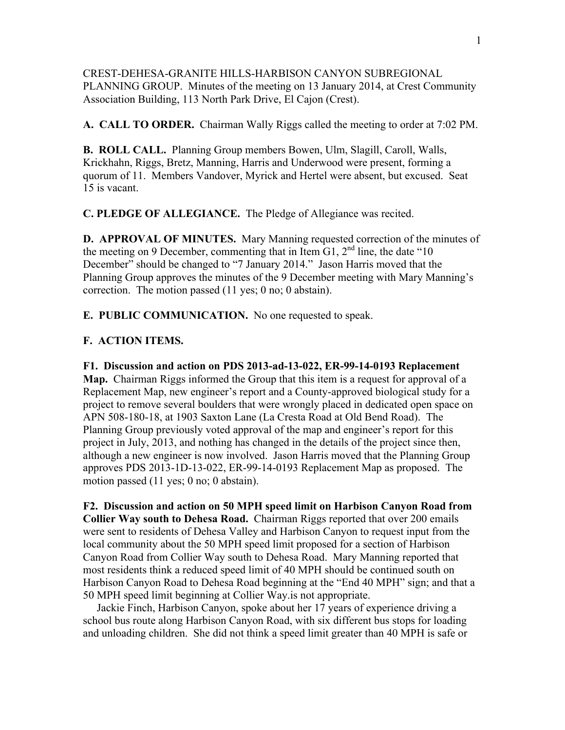CREST-DEHESA-GRANITE HILLS-HARBISON CANYON SUBREGIONAL PLANNING GROUP. Minutes of the meeting on 13 January 2014, at Crest Community Association Building, 113 North Park Drive, El Cajon (Crest).

**A. CALL TO ORDER.** Chairman Wally Riggs called the meeting to order at 7:02 PM.

**B. ROLL CALL.** Planning Group members Bowen, Ulm, Slagill, Caroll, Walls, Krickhahn, Riggs, Bretz, Manning, Harris and Underwood were present, forming a quorum of 11. Members Vandover, Myrick and Hertel were absent, but excused. Seat 15 is vacant.

**C. PLEDGE OF ALLEGIANCE.** The Pledge of Allegiance was recited.

**D. APPROVAL OF MINUTES.** Mary Manning requested correction of the minutes of the meeting on 9 December, commenting that in Item  $G1$ ,  $2<sup>nd</sup>$  line, the date "10" December" should be changed to "7 January 2014." Jason Harris moved that the Planning Group approves the minutes of the 9 December meeting with Mary Manning's correction. The motion passed (11 yes; 0 no; 0 abstain).

**E. PUBLIC COMMUNICATION.** No one requested to speak.

## **F. ACTION ITEMS.**

**F1. Discussion and action on PDS 2013-ad-13-022, ER-99-14-0193 Replacement Map.** Chairman Riggs informed the Group that this item is a request for approval of a Replacement Map, new engineer's report and a County-approved biological study for a project to remove several boulders that were wrongly placed in dedicated open space on APN 508-180-18, at 1903 Saxton Lane (La Cresta Road at Old Bend Road). The Planning Group previously voted approval of the map and engineer's report for this project in July, 2013, and nothing has changed in the details of the project since then, although a new engineer is now involved. Jason Harris moved that the Planning Group approves PDS 2013-1D-13-022, ER-99-14-0193 Replacement Map as proposed. The motion passed (11 yes; 0 no; 0 abstain).

**F2. Discussion and action on 50 MPH speed limit on Harbison Canyon Road from Collier Way south to Dehesa Road.** Chairman Riggs reported that over 200 emails were sent to residents of Dehesa Valley and Harbison Canyon to request input from the local community about the 50 MPH speed limit proposed for a section of Harbison Canyon Road from Collier Way south to Dehesa Road. Mary Manning reported that most residents think a reduced speed limit of 40 MPH should be continued south on Harbison Canyon Road to Dehesa Road beginning at the "End 40 MPH" sign; and that a 50 MPH speed limit beginning at Collier Way.is not appropriate.

 Jackie Finch, Harbison Canyon, spoke about her 17 years of experience driving a school bus route along Harbison Canyon Road, with six different bus stops for loading and unloading children. She did not think a speed limit greater than 40 MPH is safe or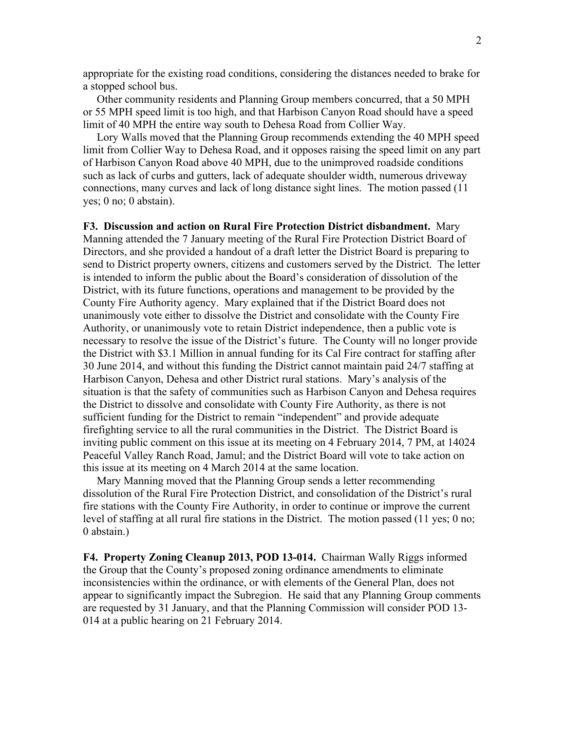appropriate for the existing road conditions, considering the distances needed to brake for a stopped school bus.

 Other community residents and Planning Group members concurred, that a 50 MPH or 55 MPH speed limit is too high, and that Harbison Canyon Road should have a speed limit of 40 MPH the entire way south to Dehesa Road from Collier Way.

 Lory Walls moved that the Planning Group recommends extending the 40 MPH speed limit from Collier Way to Dehesa Road, and it opposes raising the speed limit on any part of Harbison Canyon Road above 40 MPH, due to the unimproved roadside conditions such as lack of curbs and gutters, lack of adequate shoulder width, numerous driveway connections, many curves and lack of long distance sight lines. The motion passed (11 yes; 0 no; 0 abstain).

**F3. Discussion and action on Rural Fire Protection District disbandment.** Mary Manning attended the 7 January meeting of the Rural Fire Protection District Board of Directors, and she provided a handout of a draft letter the District Board is preparing to send to District property owners, citizens and customers served by the District. The letter is intended to inform the public about the Board's consideration of dissolution of the District, with its future functions, operations and management to be provided by the County Fire Authority agency. Mary explained that if the District Board does not unanimously vote either to dissolve the District and consolidate with the County Fire Authority, or unanimously vote to retain District independence, then a public vote is necessary to resolve the issue of the District's future. The County will no longer provide the District with \$3.1 Million in annual funding for its Cal Fire contract for staffing after 30 June 2014, and without this funding the District cannot maintain paid 24/7 staffing at Harbison Canyon, Dehesa and other District rural stations. Mary's analysis of the situation is that the safety of communities such as Harbison Canyon and Dehesa requires the District to dissolve and consolidate with County Fire Authority, as there is not sufficient funding for the District to remain "independent" and provide adequate firefighting service to all the rural communities in the District. The District Board is inviting public comment on this issue at its meeting on 4 February 2014, 7 PM, at 14024 Peaceful Valley Ranch Road, Jamul; and the District Board will vote to take action on this issue at its meeting on 4 March 2014 at the same location.

 Mary Manning moved that the Planning Group sends a letter recommending dissolution of the Rural Fire Protection District, and consolidation of the District's rural fire stations with the County Fire Authority, in order to continue or improve the current level of staffing at all rural fire stations in the District. The motion passed (11 yes; 0 no; 0 abstain.)

**F4. Property Zoning Cleanup 2013, POD 13-014.** Chairman Wally Riggs informed the Group that the County's proposed zoning ordinance amendments to eliminate inconsistencies within the ordinance, or with elements of the General Plan, does not appear to significantly impact the Subregion. He said that any Planning Group comments are requested by 31 January, and that the Planning Commission will consider POD 13- 014 at a public hearing on 21 February 2014.